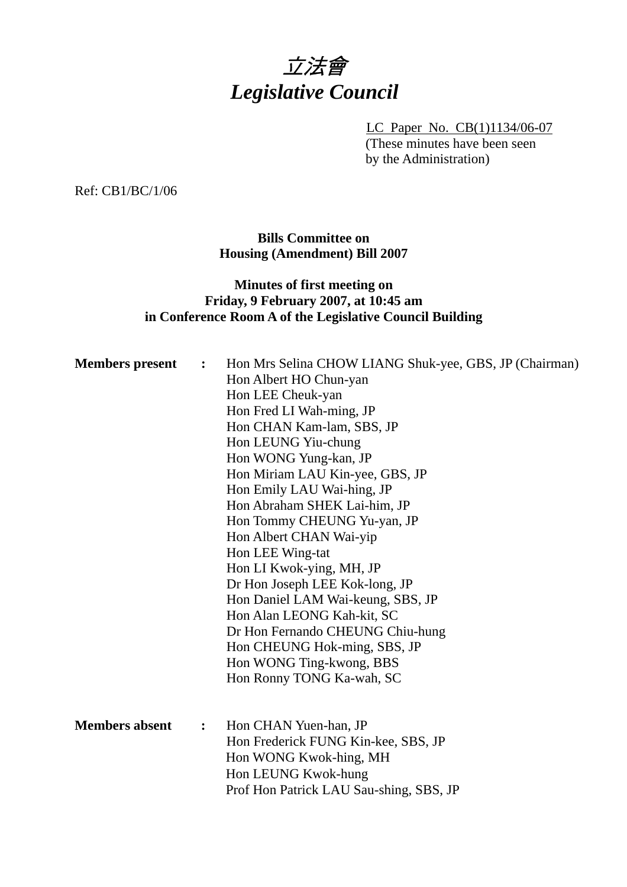

LC Paper No. CB(1)1134/06-07 (These minutes have been seen by the Administration)

Ref: CB1/BC/1/06

**Bills Committee on Housing (Amendment) Bill 2007** 

# **Minutes of first meeting on Friday, 9 February 2007, at 10:45 am in Conference Room A of the Legislative Council Building**

| <b>Members</b> present | $\ddot{\cdot}$         | Hon Mrs Selina CHOW LIANG Shuk-yee, GBS, JP (Chairman)<br>Hon Albert HO Chun-yan<br>Hon LEE Cheuk-yan<br>Hon Fred LI Wah-ming, JP<br>Hon CHAN Kam-lam, SBS, JP<br>Hon LEUNG Yiu-chung<br>Hon WONG Yung-kan, JP<br>Hon Miriam LAU Kin-yee, GBS, JP<br>Hon Emily LAU Wai-hing, JP<br>Hon Abraham SHEK Lai-him, JP<br>Hon Tommy CHEUNG Yu-yan, JP<br>Hon Albert CHAN Wai-yip<br>Hon LEE Wing-tat<br>Hon LI Kwok-ying, MH, JP<br>Dr Hon Joseph LEE Kok-long, JP<br>Hon Daniel LAM Wai-keung, SBS, JP<br>Hon Alan LEONG Kah-kit, SC<br>Dr Hon Fernando CHEUNG Chiu-hung |
|------------------------|------------------------|--------------------------------------------------------------------------------------------------------------------------------------------------------------------------------------------------------------------------------------------------------------------------------------------------------------------------------------------------------------------------------------------------------------------------------------------------------------------------------------------------------------------------------------------------------------------|
|                        |                        | Hon CHEUNG Hok-ming, SBS, JP<br>Hon WONG Ting-kwong, BBS<br>Hon Ronny TONG Ka-wah, SC                                                                                                                                                                                                                                                                                                                                                                                                                                                                              |
| <b>Members absent</b>  | : $\ddot{\phantom{0}}$ | Hon CHAN Yuen-han, JP<br>Hon Frederick FUNG Kin-kee, SBS, JP<br>Hon WONG Kwok-hing, MH<br>Hon LEUNG Kwok-hung<br>Prof Hon Patrick LAU Sau-shing, SBS, JP                                                                                                                                                                                                                                                                                                                                                                                                           |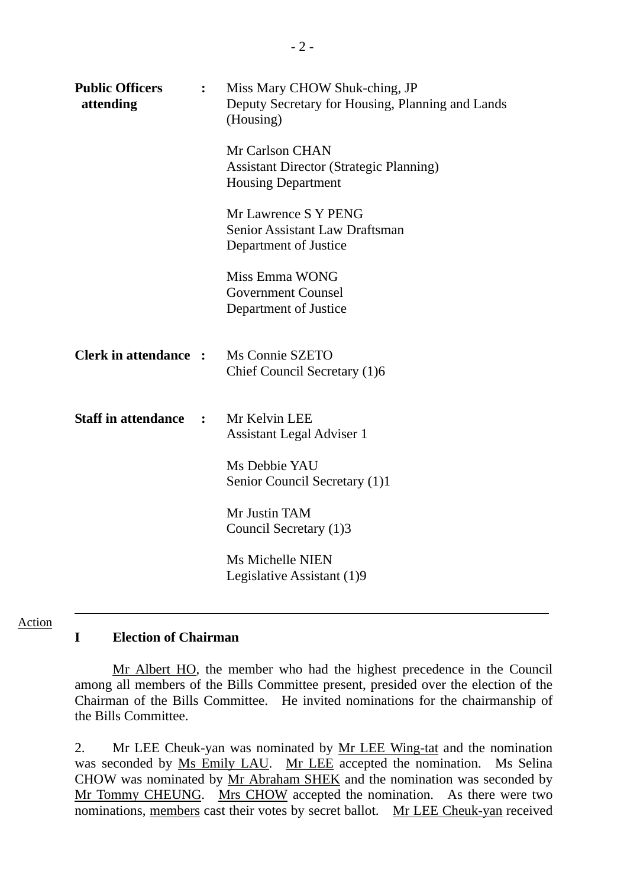| <b>Public Officers</b><br>attending | $\ddot{\cdot}$ | Miss Mary CHOW Shuk-ching, JP<br>Deputy Secretary for Housing, Planning and Lands<br>(Housing) |
|-------------------------------------|----------------|------------------------------------------------------------------------------------------------|
|                                     |                | Mr Carlson CHAN<br><b>Assistant Director (Strategic Planning)</b><br><b>Housing Department</b> |
|                                     |                | Mr Lawrence S Y PENG<br>Senior Assistant Law Draftsman<br>Department of Justice                |
|                                     |                | Miss Emma WONG<br><b>Government Counsel</b><br>Department of Justice                           |
| <b>Clerk in attendance:</b>         |                | Ms Connie SZETO<br>Chief Council Secretary (1)6                                                |
| <b>Staff in attendance</b>          | $\ddot{\cdot}$ | Mr Kelvin LEE<br><b>Assistant Legal Adviser 1</b>                                              |
|                                     |                | Ms Debbie YAU<br>Senior Council Secretary (1)1                                                 |
|                                     |                | Mr Justin TAM<br>Council Secretary (1)3                                                        |
|                                     |                | Ms Michelle NIEN<br>Legislative Assistant (1)9                                                 |

#### Action

### **I Election of Chairman**

 Mr Albert HO, the member who had the highest precedence in the Council among all members of the Bills Committee present, presided over the election of the Chairman of the Bills Committee. He invited nominations for the chairmanship of the Bills Committee.

2. Mr LEE Cheuk-yan was nominated by Mr LEE Wing-tat and the nomination was seconded by Ms Emily LAU. Mr LEE accepted the nomination. Ms Selina CHOW was nominated by Mr Abraham SHEK and the nomination was seconded by Mr Tommy CHEUNG. Mrs CHOW accepted the nomination. As there were two nominations, members cast their votes by secret ballot. Mr LEE Cheuk-yan received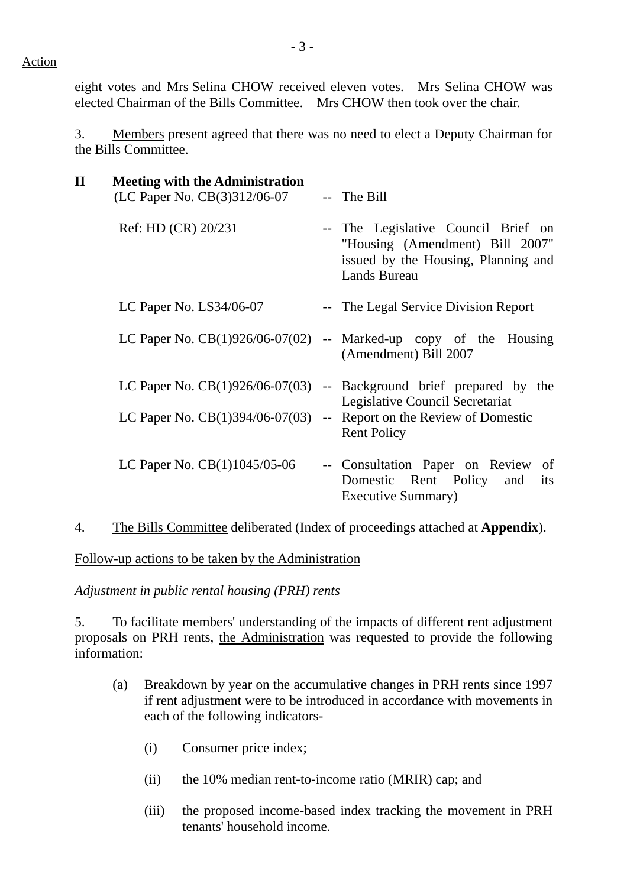Action

eight votes and Mrs Selina CHOW received eleven votes. Mrs Selina CHOW was elected Chairman of the Bills Committee. Mrs CHOW then took over the chair.

3. Members present agreed that there was no need to elect a Deputy Chairman for the Bills Committee.

| $\mathbf{I}\mathbf{I}$ | <b>Meeting with the Administration</b><br>(LC Paper No. CB(3)312/06-07 | -- The Bill                                                                                                                          |
|------------------------|------------------------------------------------------------------------|--------------------------------------------------------------------------------------------------------------------------------------|
|                        | Ref: HD (CR) 20/231                                                    | -- The Legislative Council Brief on<br>"Housing (Amendment) Bill 2007"<br>issued by the Housing, Planning and<br><b>Lands Bureau</b> |
|                        | LC Paper No. $LS34/06-07$                                              | -- The Legal Service Division Report                                                                                                 |
|                        |                                                                        | LC Paper No. $CB(1)926/06-07(02)$ -- Marked-up copy of the Housing<br>(Amendment) Bill 2007                                          |
|                        |                                                                        | LC Paper No. $CB(1)926/06-07(03)$ -- Background brief prepared by the<br>Legislative Council Secretariat                             |
|                        | LC Paper No. $CB(1)394/06-07(03)$                                      | -- Report on the Review of Domestic<br><b>Rent Policy</b>                                                                            |
|                        | LC Paper No. $CB(1)1045/05-06$                                         | -- Consultation Paper on Review<br>of<br>Domestic Rent Policy<br>and<br>its<br>Executive Summary)                                    |

4. The Bills Committee deliberated (Index of proceedings attached at **Appendix**).

Follow-up actions to be taken by the Administration

*Adjustment in public rental housing (PRH) rents* 

5. To facilitate members' understanding of the impacts of different rent adjustment proposals on PRH rents, the Administration was requested to provide the following information:

- (a) Breakdown by year on the accumulative changes in PRH rents since 1997 if rent adjustment were to be introduced in accordance with movements in each of the following indicators-
	- (i) Consumer price index;
	- (ii) the 10% median rent-to-income ratio (MRIR) cap; and
	- (iii) the proposed income-based index tracking the movement in PRH tenants' household income.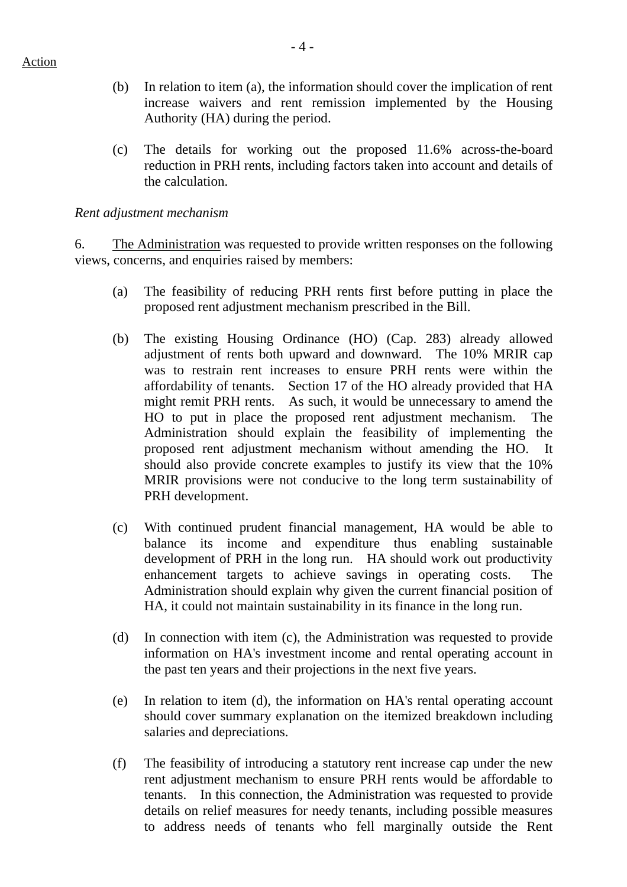- (b) In relation to item (a), the information should cover the implication of rent increase waivers and rent remission implemented by the Housing Authority (HA) during the period.
- (c) The details for working out the proposed 11.6% across-the-board reduction in PRH rents, including factors taken into account and details of the calculation.

#### *Rent adjustment mechanism*

6. The Administration was requested to provide written responses on the following views, concerns, and enquiries raised by members:

- (a) The feasibility of reducing PRH rents first before putting in place the proposed rent adjustment mechanism prescribed in the Bill.
- (b) The existing Housing Ordinance (HO) (Cap. 283) already allowed adjustment of rents both upward and downward. The 10% MRIR cap was to restrain rent increases to ensure PRH rents were within the affordability of tenants. Section 17 of the HO already provided that HA might remit PRH rents. As such, it would be unnecessary to amend the HO to put in place the proposed rent adjustment mechanism. The Administration should explain the feasibility of implementing the proposed rent adjustment mechanism without amending the HO. It should also provide concrete examples to justify its view that the 10% MRIR provisions were not conducive to the long term sustainability of PRH development.
- (c) With continued prudent financial management, HA would be able to balance its income and expenditure thus enabling sustainable development of PRH in the long run. HA should work out productivity enhancement targets to achieve savings in operating costs. The Administration should explain why given the current financial position of HA, it could not maintain sustainability in its finance in the long run.
- (d) In connection with item (c), the Administration was requested to provide information on HA's investment income and rental operating account in the past ten years and their projections in the next five years.
- (e) In relation to item (d), the information on HA's rental operating account should cover summary explanation on the itemized breakdown including salaries and depreciations.
- (f) The feasibility of introducing a statutory rent increase cap under the new rent adjustment mechanism to ensure PRH rents would be affordable to tenants. In this connection, the Administration was requested to provide details on relief measures for needy tenants, including possible measures to address needs of tenants who fell marginally outside the Rent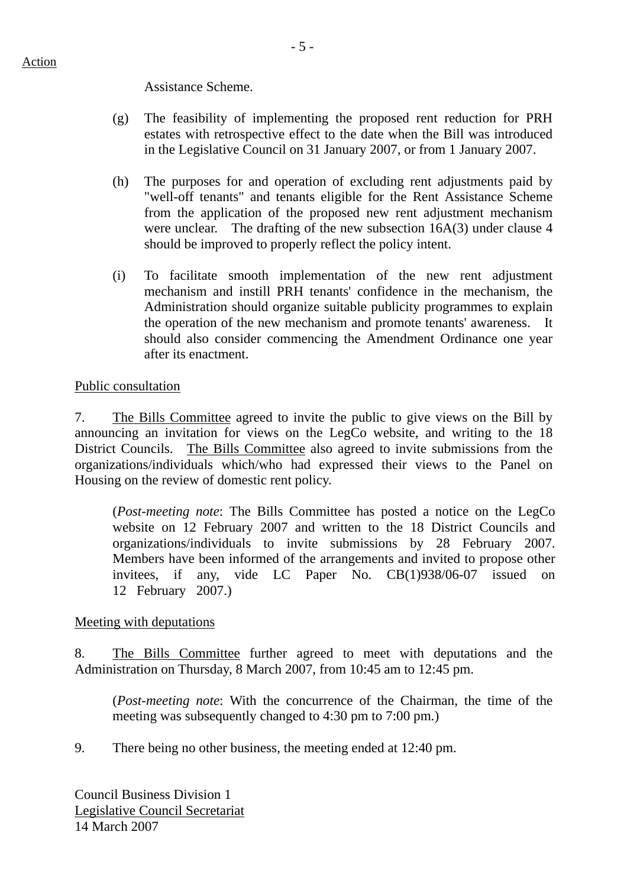Assistance Scheme.

- (g) The feasibility of implementing the proposed rent reduction for PRH estates with retrospective effect to the date when the Bill was introduced in the Legislative Council on 31 January 2007, or from 1 January 2007.
- (h) The purposes for and operation of excluding rent adjustments paid by "well-off tenants" and tenants eligible for the Rent Assistance Scheme from the application of the proposed new rent adjustment mechanism were unclear. The drafting of the new subsection 16A(3) under clause 4 should be improved to properly reflect the policy intent.
- (i) To facilitate smooth implementation of the new rent adjustment mechanism and instill PRH tenants' confidence in the mechanism, the Administration should organize suitable publicity programmes to explain the operation of the new mechanism and promote tenants' awareness. should also consider commencing the Amendment Ordinance one year after its enactment.

## Public consultation

7. The Bills Committee agreed to invite the public to give views on the Bill by announcing an invitation for views on the LegCo website, and writing to the 18 District Councils. The Bills Committee also agreed to invite submissions from the organizations/individuals which/who had expressed their views to the Panel on Housing on the review of domestic rent policy.

(*Post-meeting note*: The Bills Committee has posted a notice on the LegCo website on 12 February 2007 and written to the 18 District Councils and organizations/individuals to invite submissions by 28 February 2007. Members have been informed of the arrangements and invited to propose other invitees, if any, vide LC Paper No. CB(1)938/06-07 issued on 12 February 2007.)

## Meeting with deputations

8. The Bills Committee further agreed to meet with deputations and the Administration on Thursday, 8 March 2007, from 10:45 am to 12:45 pm.

(*Post-meeting note*: With the concurrence of the Chairman, the time of the meeting was subsequently changed to 4:30 pm to 7:00 pm.)

9. There being no other business, the meeting ended at 12:40 pm.

Council Business Division 1 Legislative Council Secretariat 14 March 2007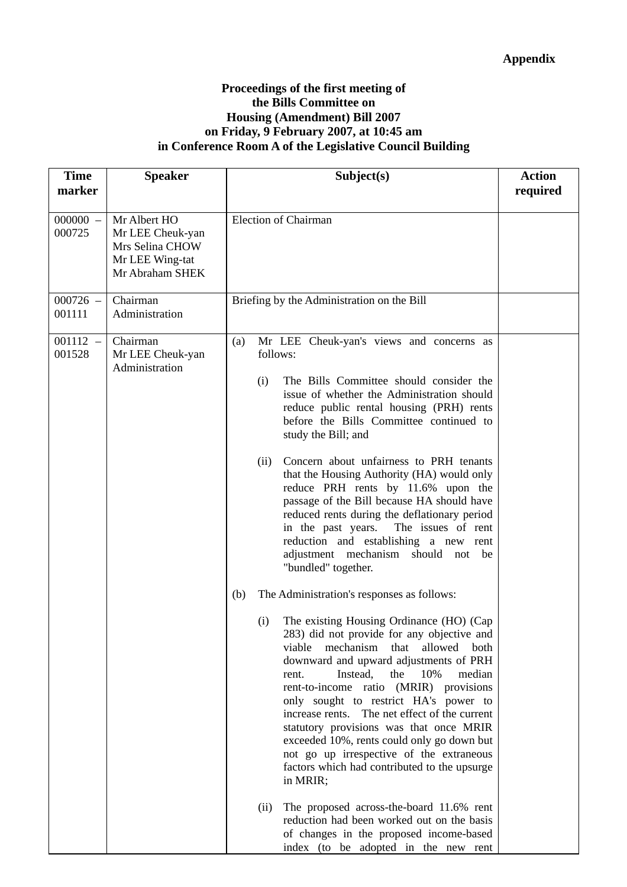### **Proceedings of the first meeting of the Bills Committee on Housing (Amendment) Bill 2007 on Friday, 9 February 2007, at 10:45 am in Conference Room A of the Legislative Council Building**

| <b>Time</b><br>marker | <b>Speaker</b>                                                                            | Subject(s)                                                                                                                                                                                                                                                                                                                                                                                                                                                                                                                                                                                                                                                                                                                                                                                                                                                                                                                                                                                                                                                                                                                                     | <b>Action</b><br>required |
|-----------------------|-------------------------------------------------------------------------------------------|------------------------------------------------------------------------------------------------------------------------------------------------------------------------------------------------------------------------------------------------------------------------------------------------------------------------------------------------------------------------------------------------------------------------------------------------------------------------------------------------------------------------------------------------------------------------------------------------------------------------------------------------------------------------------------------------------------------------------------------------------------------------------------------------------------------------------------------------------------------------------------------------------------------------------------------------------------------------------------------------------------------------------------------------------------------------------------------------------------------------------------------------|---------------------------|
| $000000 -$<br>000725  | Mr Albert HO<br>Mr LEE Cheuk-yan<br>Mrs Selina CHOW<br>Mr LEE Wing-tat<br>Mr Abraham SHEK | Election of Chairman                                                                                                                                                                                                                                                                                                                                                                                                                                                                                                                                                                                                                                                                                                                                                                                                                                                                                                                                                                                                                                                                                                                           |                           |
| $000726 -$<br>001111  | Chairman<br>Administration                                                                | Briefing by the Administration on the Bill                                                                                                                                                                                                                                                                                                                                                                                                                                                                                                                                                                                                                                                                                                                                                                                                                                                                                                                                                                                                                                                                                                     |                           |
| $001112 -$<br>001528  | Chairman<br>Mr LEE Cheuk-yan<br>Administration                                            | Mr LEE Cheuk-yan's views and concerns as<br>(a)<br>follows:<br>The Bills Committee should consider the<br>(i)<br>issue of whether the Administration should<br>reduce public rental housing (PRH) rents<br>before the Bills Committee continued to<br>study the Bill; and<br>Concern about unfairness to PRH tenants<br>(ii)<br>that the Housing Authority (HA) would only<br>reduce PRH rents by 11.6% upon the<br>passage of the Bill because HA should have<br>reduced rents during the deflationary period<br>in the past years.<br>The issues of rent<br>reduction and establishing a new rent<br>adjustment mechanism should not be<br>"bundled" together.<br>The Administration's responses as follows:<br>(b)<br>The existing Housing Ordinance (HO) (Cap<br>(i)<br>283) did not provide for any objective and<br>mechanism<br>viable<br>that<br>allowed<br>both<br>downward and upward adjustments of PRH<br>Instead,<br>the<br>10%<br>median<br>rent.<br>rent-to-income ratio (MRIR) provisions<br>only sought to restrict HA's power to<br>increase rents. The net effect of the current<br>statutory provisions was that once MRIR |                           |
|                       |                                                                                           | exceeded 10%, rents could only go down but<br>not go up irrespective of the extraneous<br>factors which had contributed to the upsurge<br>in MRIR;<br>The proposed across-the-board 11.6% rent<br>(ii)<br>reduction had been worked out on the basis<br>of changes in the proposed income-based<br>index (to be adopted in the new rent                                                                                                                                                                                                                                                                                                                                                                                                                                                                                                                                                                                                                                                                                                                                                                                                        |                           |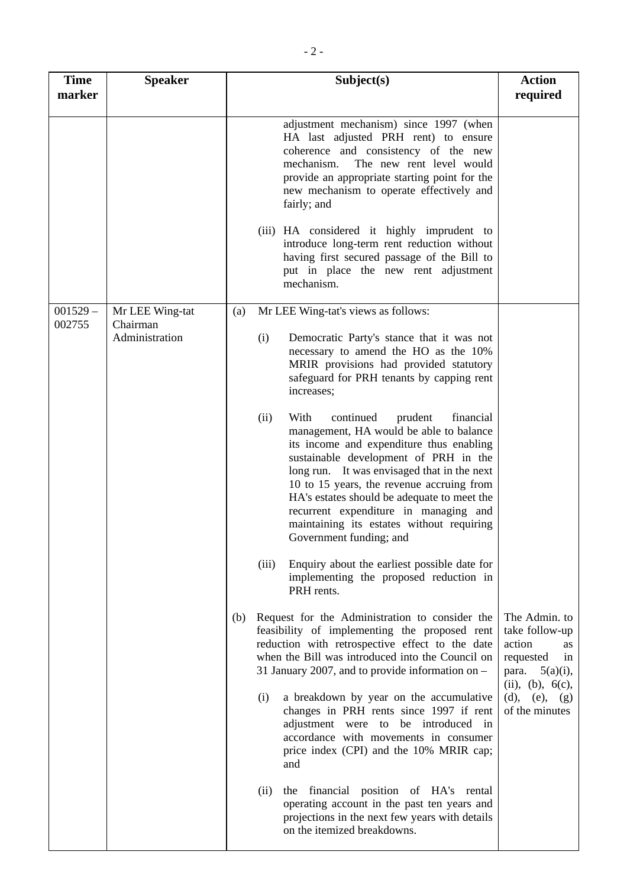| <b>Time</b><br>marker | <b>Speaker</b>              | Subject(s)                                                                                                                                                                                                                                                                                                                                                                                                                                    | <b>Action</b><br>required                                                                                                |
|-----------------------|-----------------------------|-----------------------------------------------------------------------------------------------------------------------------------------------------------------------------------------------------------------------------------------------------------------------------------------------------------------------------------------------------------------------------------------------------------------------------------------------|--------------------------------------------------------------------------------------------------------------------------|
|                       |                             | adjustment mechanism) since 1997 (when<br>HA last adjusted PRH rent) to ensure<br>coherence and consistency of the new<br>The new rent level would<br>mechanism.<br>provide an appropriate starting point for the<br>new mechanism to operate effectively and<br>fairly; and                                                                                                                                                                  |                                                                                                                          |
|                       |                             | (iii) HA considered it highly imprudent to<br>introduce long-term rent reduction without<br>having first secured passage of the Bill to<br>put in place the new rent adjustment<br>mechanism.                                                                                                                                                                                                                                                 |                                                                                                                          |
| $001529 -$<br>002755  | Mr LEE Wing-tat<br>Chairman | Mr LEE Wing-tat's views as follows:<br>(a)                                                                                                                                                                                                                                                                                                                                                                                                    |                                                                                                                          |
|                       | Administration              | (i)<br>Democratic Party's stance that it was not<br>necessary to amend the HO as the 10%<br>MRIR provisions had provided statutory<br>safeguard for PRH tenants by capping rent<br>increases;                                                                                                                                                                                                                                                 |                                                                                                                          |
|                       |                             | With<br>(ii)<br>continued<br>prudent<br>financial<br>management, HA would be able to balance<br>its income and expenditure thus enabling<br>sustainable development of PRH in the<br>long run. It was envisaged that in the next<br>10 to 15 years, the revenue accruing from<br>HA's estates should be adequate to meet the<br>recurrent expenditure in managing and<br>maintaining its estates without requiring<br>Government funding; and |                                                                                                                          |
|                       |                             | Enquiry about the earliest possible date for<br>(iii)<br>implementing the proposed reduction in<br>PRH rents.                                                                                                                                                                                                                                                                                                                                 |                                                                                                                          |
|                       |                             | Request for the Administration to consider the<br>(b)<br>feasibility of implementing the proposed rent<br>reduction with retrospective effect to the date<br>when the Bill was introduced into the Council on<br>31 January 2007, and to provide information on $-$                                                                                                                                                                           | The Admin. to<br>take follow-up<br>action<br><b>as</b><br>requested<br>1n<br>$5(a)(i)$ ,<br>para.<br>(ii), (b), $6(c)$ , |
|                       |                             | a breakdown by year on the accumulative<br>(i)<br>changes in PRH rents since 1997 if rent<br>adjustment were to be introduced in<br>accordance with movements in consumer<br>price index (CPI) and the 10% MRIR cap;<br>and                                                                                                                                                                                                                   | (d), (e), $(g)$<br>of the minutes                                                                                        |
|                       |                             | financial position of HA's rental<br>(ii)<br>the<br>operating account in the past ten years and<br>projections in the next few years with details<br>on the itemized breakdowns.                                                                                                                                                                                                                                                              |                                                                                                                          |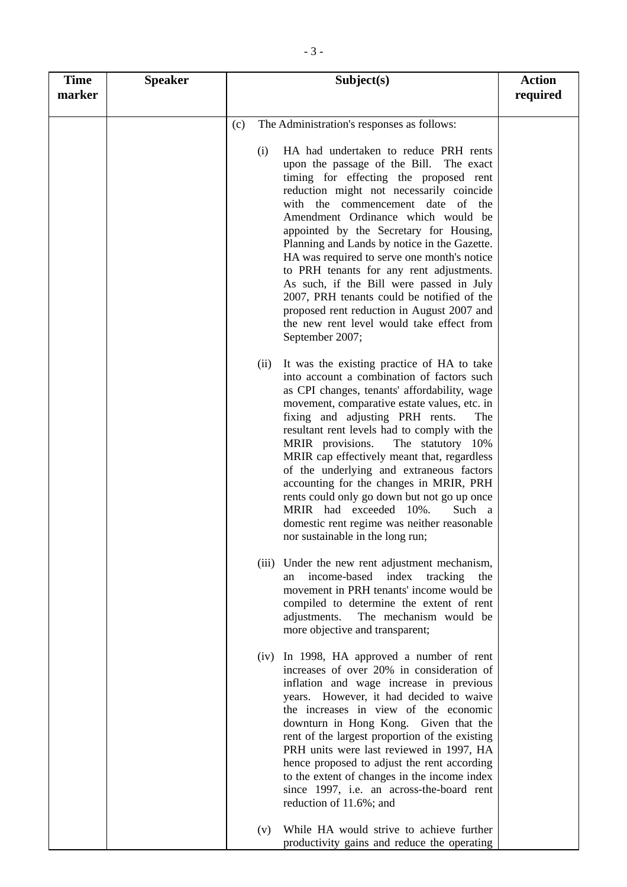| <b>Time</b><br>marker | <b>Speaker</b> | Subject(s)                                                                                                                                                                                                                                                                                                                                                                                                                                                                                                                                                                                                                                             | <b>Action</b><br>required |
|-----------------------|----------------|--------------------------------------------------------------------------------------------------------------------------------------------------------------------------------------------------------------------------------------------------------------------------------------------------------------------------------------------------------------------------------------------------------------------------------------------------------------------------------------------------------------------------------------------------------------------------------------------------------------------------------------------------------|---------------------------|
|                       |                | The Administration's responses as follows:<br>(c)                                                                                                                                                                                                                                                                                                                                                                                                                                                                                                                                                                                                      |                           |
|                       |                | HA had undertaken to reduce PRH rents<br>(i)<br>upon the passage of the Bill. The exact<br>timing for effecting the proposed rent<br>reduction might not necessarily coincide<br>with the commencement date of the<br>Amendment Ordinance which would be<br>appointed by the Secretary for Housing,<br>Planning and Lands by notice in the Gazette.<br>HA was required to serve one month's notice<br>to PRH tenants for any rent adjustments.<br>As such, if the Bill were passed in July<br>2007, PRH tenants could be notified of the<br>proposed rent reduction in August 2007 and<br>the new rent level would take effect from<br>September 2007; |                           |
|                       |                | It was the existing practice of HA to take<br>(ii)<br>into account a combination of factors such<br>as CPI changes, tenants' affordability, wage<br>movement, comparative estate values, etc. in<br>fixing and adjusting PRH rents.<br>The<br>resultant rent levels had to comply with the<br>MRIR provisions.<br>The statutory 10%<br>MRIR cap effectively meant that, regardless<br>of the underlying and extraneous factors<br>accounting for the changes in MRIR, PRH<br>rents could only go down but not go up once<br>MRIR had exceeded<br>$10%$ .<br>Such a<br>domestic rent regime was neither reasonable<br>nor sustainable in the long run;  |                           |
|                       |                | (iii) Under the new rent adjustment mechanism,<br>income-based index tracking the<br>an<br>movement in PRH tenants' income would be<br>compiled to determine the extent of rent<br>The mechanism would be<br>adjustments.<br>more objective and transparent;                                                                                                                                                                                                                                                                                                                                                                                           |                           |
|                       |                | (iv) In 1998, HA approved a number of rent<br>increases of over 20% in consideration of<br>inflation and wage increase in previous<br>years. However, it had decided to waive<br>the increases in view of the economic<br>downturn in Hong Kong. Given that the<br>rent of the largest proportion of the existing<br>PRH units were last reviewed in 1997, HA<br>hence proposed to adjust the rent according<br>to the extent of changes in the income index<br>since 1997, i.e. an across-the-board rent<br>reduction of 11.6%; and                                                                                                                   |                           |
|                       |                | While HA would strive to achieve further<br>(v)<br>productivity gains and reduce the operating                                                                                                                                                                                                                                                                                                                                                                                                                                                                                                                                                         |                           |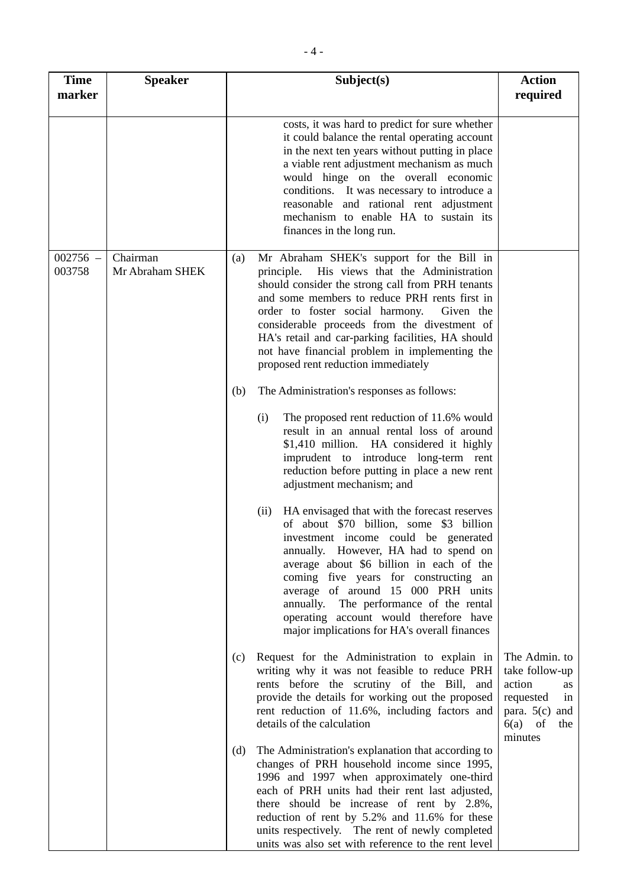| <b>Time</b><br>marker | <b>Speaker</b>              | Subject(s)                                                                                                                                                                                                                                                                                                                                                                                                                                             | <b>Action</b><br>required                                                                                             |
|-----------------------|-----------------------------|--------------------------------------------------------------------------------------------------------------------------------------------------------------------------------------------------------------------------------------------------------------------------------------------------------------------------------------------------------------------------------------------------------------------------------------------------------|-----------------------------------------------------------------------------------------------------------------------|
|                       |                             | costs, it was hard to predict for sure whether<br>it could balance the rental operating account<br>in the next ten years without putting in place<br>a viable rent adjustment mechanism as much<br>would hinge on the overall economic<br>conditions. It was necessary to introduce a<br>reasonable and rational rent adjustment<br>mechanism to enable HA to sustain its<br>finances in the long run.                                                 |                                                                                                                       |
| $002756 -$<br>003758  | Chairman<br>Mr Abraham SHEK | Mr Abraham SHEK's support for the Bill in<br>(a)<br>His views that the Administration<br>principle.<br>should consider the strong call from PRH tenants<br>and some members to reduce PRH rents first in<br>order to foster social harmony.<br>Given the<br>considerable proceeds from the divestment of<br>HA's retail and car-parking facilities, HA should<br>not have financial problem in implementing the<br>proposed rent reduction immediately |                                                                                                                       |
|                       |                             | The Administration's responses as follows:<br>(b)<br>The proposed rent reduction of 11.6% would<br>(i)<br>result in an annual rental loss of around<br>\$1,410 million. HA considered it highly<br>imprudent to introduce long-term rent<br>reduction before putting in place a new rent<br>adjustment mechanism; and                                                                                                                                  |                                                                                                                       |
|                       |                             | HA envisaged that with the forecast reserves<br>(ii)<br>of about \$70 billion, some \$3 billion<br>investment income could be generated<br>annually. However, HA had to spend on<br>average about \$6 billion in each of the<br>coming five years for constructing an<br>average of around 15 000 PRH units<br>annually. The performance of the rental<br>operating account would therefore have<br>major implications for HA's overall finances       |                                                                                                                       |
|                       |                             | Request for the Administration to explain in<br>(c)<br>writing why it was not feasible to reduce PRH<br>rents before the scrutiny of the Bill, and<br>provide the details for working out the proposed<br>rent reduction of 11.6%, including factors and<br>details of the calculation                                                                                                                                                                 | The Admin. to<br>take follow-up<br>action<br>as<br>requested<br>in<br>para. $5(c)$ and<br>$6(a)$ of<br>the<br>minutes |
|                       |                             | The Administration's explanation that according to<br>(d)<br>changes of PRH household income since 1995,<br>1996 and 1997 when approximately one-third<br>each of PRH units had their rent last adjusted,<br>there should be increase of rent by 2.8%,<br>reduction of rent by 5.2% and 11.6% for these<br>units respectively. The rent of newly completed<br>units was also set with reference to the rent level                                      |                                                                                                                       |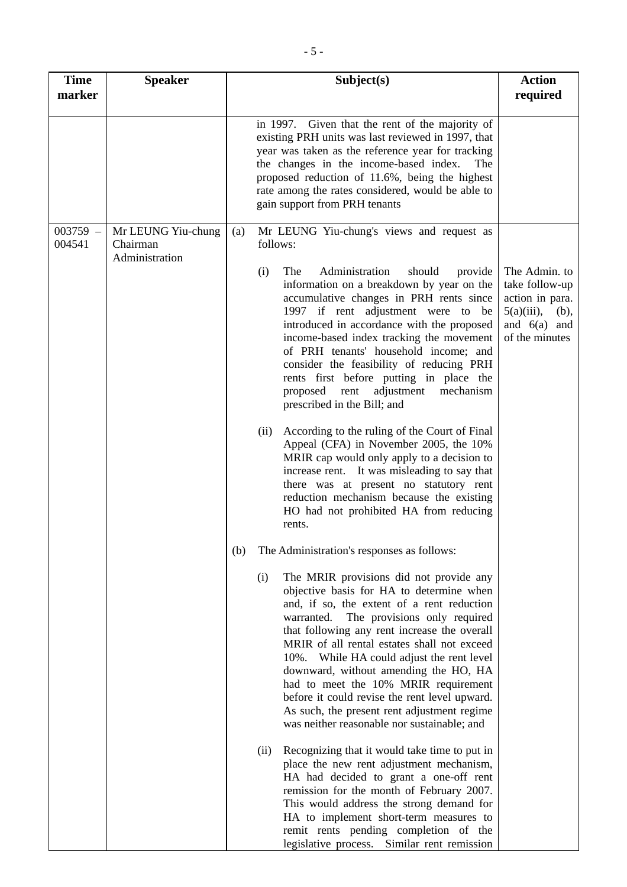| <b>Time</b><br>marker | <b>Speaker</b>                                   | Subject(s)                                                                                                                                                                                                                                                                                                                                                                                                                                                                                                                                                                | <b>Action</b><br>required                                                                                       |
|-----------------------|--------------------------------------------------|---------------------------------------------------------------------------------------------------------------------------------------------------------------------------------------------------------------------------------------------------------------------------------------------------------------------------------------------------------------------------------------------------------------------------------------------------------------------------------------------------------------------------------------------------------------------------|-----------------------------------------------------------------------------------------------------------------|
|                       |                                                  | in 1997. Given that the rent of the majority of<br>existing PRH units was last reviewed in 1997, that<br>year was taken as the reference year for tracking<br>the changes in the income-based index.<br>The<br>proposed reduction of 11.6%, being the highest<br>rate among the rates considered, would be able to<br>gain support from PRH tenants                                                                                                                                                                                                                       |                                                                                                                 |
| $003759 -$<br>004541  | Mr LEUNG Yiu-chung<br>Chairman<br>Administration | Mr LEUNG Yiu-chung's views and request as<br>(a)<br>follows:                                                                                                                                                                                                                                                                                                                                                                                                                                                                                                              |                                                                                                                 |
|                       |                                                  | Administration<br>(i)<br>The<br>should<br>provide<br>information on a breakdown by year on the<br>accumulative changes in PRH rents since<br>1997 if rent adjustment were to be<br>introduced in accordance with the proposed<br>income-based index tracking the movement<br>of PRH tenants' household income; and<br>consider the feasibility of reducing PRH<br>rents first before putting in place the<br>proposed<br>rent<br>adjustment<br>mechanism<br>prescribed in the Bill; and                                                                                   | The Admin. to<br>take follow-up<br>action in para.<br>$5(a)(iii)$ ,<br>(b),<br>and $6(a)$ and<br>of the minutes |
|                       |                                                  | According to the ruling of the Court of Final<br>(ii)<br>Appeal (CFA) in November 2005, the 10%<br>MRIR cap would only apply to a decision to<br>increase rent. It was misleading to say that<br>there was at present no statutory rent<br>reduction mechanism because the existing<br>HO had not prohibited HA from reducing<br>rents.                                                                                                                                                                                                                                   |                                                                                                                 |
|                       |                                                  | The Administration's responses as follows:<br>(b)                                                                                                                                                                                                                                                                                                                                                                                                                                                                                                                         |                                                                                                                 |
|                       |                                                  | The MRIR provisions did not provide any<br>(i)<br>objective basis for HA to determine when<br>and, if so, the extent of a rent reduction<br>The provisions only required<br>warranted.<br>that following any rent increase the overall<br>MRIR of all rental estates shall not exceed<br>While HA could adjust the rent level<br>$10\%$ .<br>downward, without amending the HO, HA<br>had to meet the 10% MRIR requirement<br>before it could revise the rent level upward.<br>As such, the present rent adjustment regime<br>was neither reasonable nor sustainable; and |                                                                                                                 |
|                       |                                                  | Recognizing that it would take time to put in<br>(ii)<br>place the new rent adjustment mechanism,<br>HA had decided to grant a one-off rent<br>remission for the month of February 2007.<br>This would address the strong demand for<br>HA to implement short-term measures to<br>remit rents pending completion of the<br>legislative process.<br>Similar rent remission                                                                                                                                                                                                 |                                                                                                                 |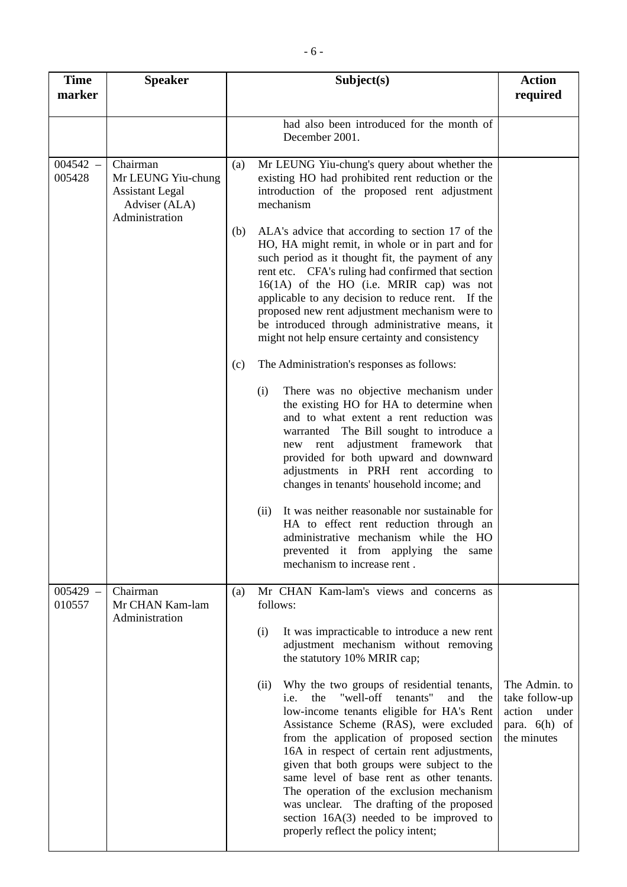| <b>Time</b><br>marker | <b>Speaker</b>                                                                              | Subject(s)                                                                                                                                                                                                                                                                                                                                                                                                                                                                                                                                                         | <b>Action</b><br>required                                                         |
|-----------------------|---------------------------------------------------------------------------------------------|--------------------------------------------------------------------------------------------------------------------------------------------------------------------------------------------------------------------------------------------------------------------------------------------------------------------------------------------------------------------------------------------------------------------------------------------------------------------------------------------------------------------------------------------------------------------|-----------------------------------------------------------------------------------|
|                       |                                                                                             | had also been introduced for the month of<br>December 2001.                                                                                                                                                                                                                                                                                                                                                                                                                                                                                                        |                                                                                   |
| $004542 -$<br>005428  | Chairman<br>Mr LEUNG Yiu-chung<br><b>Assistant Legal</b><br>Adviser (ALA)<br>Administration | Mr LEUNG Yiu-chung's query about whether the<br>(a)<br>existing HO had prohibited rent reduction or the<br>introduction of the proposed rent adjustment<br>mechanism                                                                                                                                                                                                                                                                                                                                                                                               |                                                                                   |
|                       |                                                                                             | ALA's advice that according to section 17 of the<br>(b)<br>HO, HA might remit, in whole or in part and for<br>such period as it thought fit, the payment of any<br>rent etc. CFA's ruling had confirmed that section<br>$16(1A)$ of the HO (i.e. MRIR cap) was not<br>applicable to any decision to reduce rent. If the<br>proposed new rent adjustment mechanism were to<br>be introduced through administrative means, it<br>might not help ensure certainty and consistency                                                                                     |                                                                                   |
|                       |                                                                                             | The Administration's responses as follows:<br>(c)                                                                                                                                                                                                                                                                                                                                                                                                                                                                                                                  |                                                                                   |
|                       |                                                                                             | There was no objective mechanism under<br>(i)<br>the existing HO for HA to determine when<br>and to what extent a rent reduction was<br>warranted The Bill sought to introduce a<br>adjustment framework that<br>rent<br>new<br>provided for both upward and downward<br>adjustments in PRH rent according to<br>changes in tenants' household income; and                                                                                                                                                                                                         |                                                                                   |
|                       |                                                                                             | It was neither reasonable nor sustainable for<br>(ii)<br>HA to effect rent reduction through an<br>administrative mechanism while the HO<br>prevented it from applying<br>the<br>same<br>mechanism to increase rent.                                                                                                                                                                                                                                                                                                                                               |                                                                                   |
| $005429 -$<br>010557  | Chairman<br>Mr CHAN Kam-lam<br>Administration                                               | Mr CHAN Kam-lam's views and concerns as<br>(a)<br>follows:                                                                                                                                                                                                                                                                                                                                                                                                                                                                                                         |                                                                                   |
|                       |                                                                                             | It was impracticable to introduce a new rent<br>(i)<br>adjustment mechanism without removing<br>the statutory 10% MRIR cap;                                                                                                                                                                                                                                                                                                                                                                                                                                        |                                                                                   |
|                       |                                                                                             | Why the two groups of residential tenants,<br>(ii)<br>"well-off<br>tenants"<br>the<br>and<br>i.e.<br>the<br>low-income tenants eligible for HA's Rent<br>Assistance Scheme (RAS), were excluded<br>from the application of proposed section<br>16A in respect of certain rent adjustments,<br>given that both groups were subject to the<br>same level of base rent as other tenants.<br>The operation of the exclusion mechanism<br>was unclear. The drafting of the proposed<br>section $16A(3)$ needed to be improved to<br>properly reflect the policy intent; | The Admin. to<br>take follow-up<br>action under<br>para. $6(h)$ of<br>the minutes |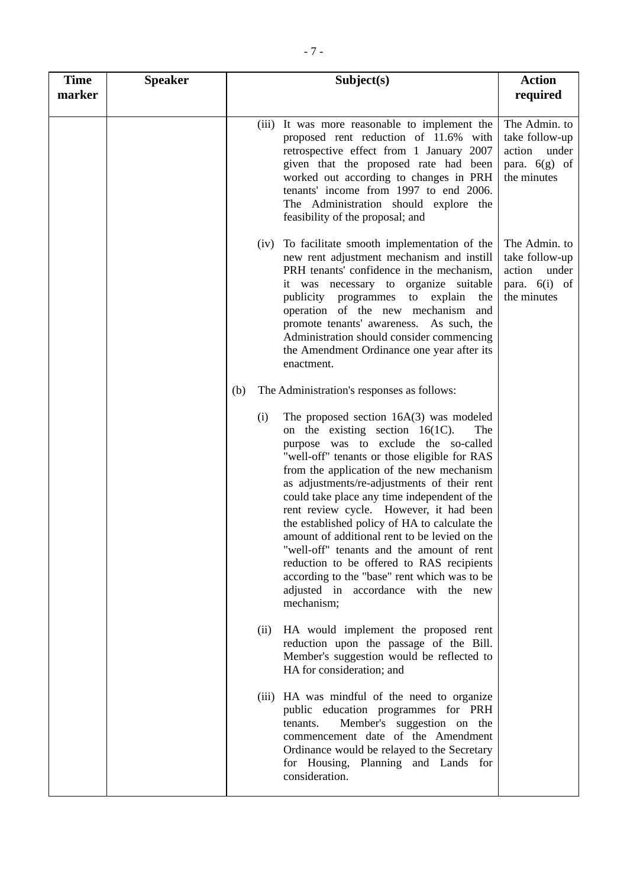| <b>Time</b><br>marker | <b>Speaker</b> | Subject(s)                                                                                                                                                                                                                                                                                                                                                                                                                                                                                                                                                                                                                                                                    | <b>Action</b><br>required                                                            |
|-----------------------|----------------|-------------------------------------------------------------------------------------------------------------------------------------------------------------------------------------------------------------------------------------------------------------------------------------------------------------------------------------------------------------------------------------------------------------------------------------------------------------------------------------------------------------------------------------------------------------------------------------------------------------------------------------------------------------------------------|--------------------------------------------------------------------------------------|
|                       |                | It was more reasonable to implement the<br>(iii)<br>proposed rent reduction of 11.6% with<br>retrospective effect from 1 January 2007<br>given that the proposed rate had been<br>worked out according to changes in PRH<br>tenants' income from 1997 to end 2006.<br>The Administration should explore the<br>feasibility of the proposal; and                                                                                                                                                                                                                                                                                                                               | The Admin. to<br>take follow-up<br>action<br>under<br>para. $6(g)$ of<br>the minutes |
|                       |                | (iv) To facilitate smooth implementation of the<br>new rent adjustment mechanism and instill<br>PRH tenants' confidence in the mechanism,<br>it was necessary to organize suitable<br>publicity programmes<br>to<br>explain<br>the<br>operation of the new mechanism<br>and<br>promote tenants' awareness. As such, the<br>Administration should consider commencing<br>the Amendment Ordinance one year after its<br>enactment.                                                                                                                                                                                                                                              | The Admin. to<br>take follow-up<br>action<br>under<br>para. 6(i) of<br>the minutes   |
|                       |                | The Administration's responses as follows:<br>(b)                                                                                                                                                                                                                                                                                                                                                                                                                                                                                                                                                                                                                             |                                                                                      |
|                       |                | The proposed section $16A(3)$ was modeled<br>(i)<br>on the existing section $16(1C)$ .<br>The<br>purpose was to exclude the so-called<br>"well-off" tenants or those eligible for RAS<br>from the application of the new mechanism<br>as adjustments/re-adjustments of their rent<br>could take place any time independent of the<br>rent review cycle. However, it had been<br>the established policy of HA to calculate the<br>amount of additional rent to be levied on the<br>"well-off" tenants and the amount of rent<br>reduction to be offered to RAS recipients<br>according to the "base" rent which was to be<br>adjusted in accordance with the new<br>mechanism; |                                                                                      |
|                       |                | HA would implement the proposed rent<br>(ii)<br>reduction upon the passage of the Bill.<br>Member's suggestion would be reflected to<br>HA for consideration; and                                                                                                                                                                                                                                                                                                                                                                                                                                                                                                             |                                                                                      |
|                       |                | (iii) HA was mindful of the need to organize<br>public education programmes for PRH<br>Member's suggestion on the<br>tenants.<br>commencement date of the Amendment<br>Ordinance would be relayed to the Secretary<br>for Housing, Planning and Lands for<br>consideration.                                                                                                                                                                                                                                                                                                                                                                                                   |                                                                                      |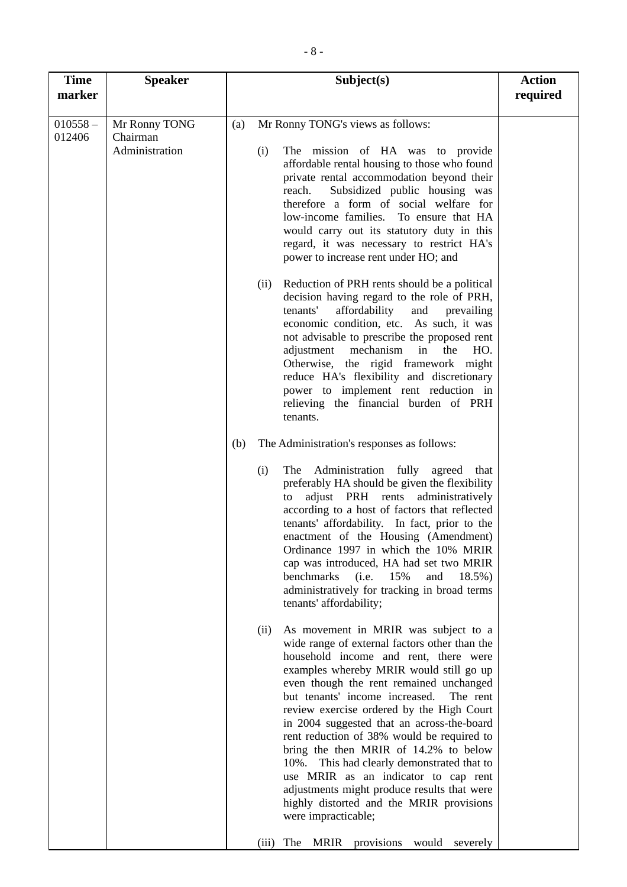| $010558 -$<br>Mr Ronny TONG's views as follows:<br>Mr Ronny TONG<br>(a)<br>Chairman<br>012406<br>Administration<br>The mission of HA was to provide<br>(i)<br>affordable rental housing to those who found<br>private rental accommodation beyond their<br>Subsidized public housing was<br>reach.<br>therefore a form of social welfare for<br>low-income families.<br>To ensure that HA<br>would carry out its statutory duty in this<br>regard, it was necessary to restrict HA's<br>power to increase rent under HO; and<br>Reduction of PRH rents should be a political<br>(ii)<br>decision having regard to the role of PRH,<br>affordability<br>tenants'<br>prevailing<br>and<br>economic condition, etc. As such, it was<br>not advisable to prescribe the proposed rent<br>mechanism in<br>adjustment<br>the<br>HO.<br>Otherwise, the rigid framework might<br>reduce HA's flexibility and discretionary<br>power to implement rent reduction in<br>relieving the financial burden of PRH<br>tenants.<br>The Administration's responses as follows:<br>(b)<br>(i)<br>The Administration fully agreed that<br>preferably HA should be given the flexibility<br>adjust PRH rents<br>administratively<br>to<br>according to a host of factors that reflected<br>tenants' affordability. In fact, prior to the<br>enactment of the Housing (Amendment)<br>Ordinance 1997 in which the 10% MRIR<br>cap was introduced, HA had set two MRIR<br>benchmarks<br>(i.e.<br>15%<br>and<br>18.5%)<br>administratively for tracking in broad terms<br>tenants' affordability;<br>As movement in MRIR was subject to a<br>(ii)<br>wide range of external factors other than the<br>household income and rent, there were<br>examples whereby MRIR would still go up<br>even though the rent remained unchanged<br>but tenants' income increased.<br>The rent<br>review exercise ordered by the High Court<br>in 2004 suggested that an across-the-board<br>rent reduction of 38% would be required to<br>bring the then MRIR of 14.2% to below<br>10%. This had clearly demonstrated that to<br>use MRIR as an indicator to cap rent | <b>Time</b> | <b>Speaker</b> | Subject(s) | <b>Action</b> |
|--------------------------------------------------------------------------------------------------------------------------------------------------------------------------------------------------------------------------------------------------------------------------------------------------------------------------------------------------------------------------------------------------------------------------------------------------------------------------------------------------------------------------------------------------------------------------------------------------------------------------------------------------------------------------------------------------------------------------------------------------------------------------------------------------------------------------------------------------------------------------------------------------------------------------------------------------------------------------------------------------------------------------------------------------------------------------------------------------------------------------------------------------------------------------------------------------------------------------------------------------------------------------------------------------------------------------------------------------------------------------------------------------------------------------------------------------------------------------------------------------------------------------------------------------------------------------------------------------------------------------------------------------------------------------------------------------------------------------------------------------------------------------------------------------------------------------------------------------------------------------------------------------------------------------------------------------------------------------------------------------------------------------------------------------------------------------------------------------------------------------------|-------------|----------------|------------|---------------|
|                                                                                                                                                                                                                                                                                                                                                                                                                                                                                                                                                                                                                                                                                                                                                                                                                                                                                                                                                                                                                                                                                                                                                                                                                                                                                                                                                                                                                                                                                                                                                                                                                                                                                                                                                                                                                                                                                                                                                                                                                                                                                                                                | marker      |                |            | required      |
|                                                                                                                                                                                                                                                                                                                                                                                                                                                                                                                                                                                                                                                                                                                                                                                                                                                                                                                                                                                                                                                                                                                                                                                                                                                                                                                                                                                                                                                                                                                                                                                                                                                                                                                                                                                                                                                                                                                                                                                                                                                                                                                                |             |                |            |               |
| adjustments might produce results that were<br>highly distorted and the MRIR provisions<br>were impracticable;<br>The<br><b>MRIR</b><br>provisions<br>would<br>severely<br>(iii)                                                                                                                                                                                                                                                                                                                                                                                                                                                                                                                                                                                                                                                                                                                                                                                                                                                                                                                                                                                                                                                                                                                                                                                                                                                                                                                                                                                                                                                                                                                                                                                                                                                                                                                                                                                                                                                                                                                                               |             |                |            |               |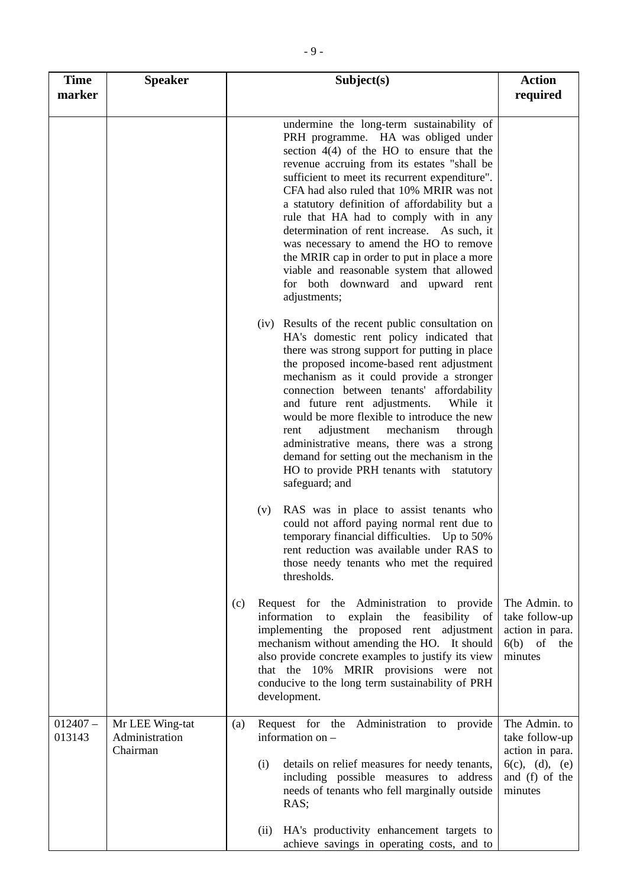| <b>Time</b><br>marker | <b>Speaker</b>                                | Subject(s)                                                                                                                                                                                                                                                                                                                                                                                                                                                                                                                                                                                                          | <b>Action</b><br>required                                                                         |
|-----------------------|-----------------------------------------------|---------------------------------------------------------------------------------------------------------------------------------------------------------------------------------------------------------------------------------------------------------------------------------------------------------------------------------------------------------------------------------------------------------------------------------------------------------------------------------------------------------------------------------------------------------------------------------------------------------------------|---------------------------------------------------------------------------------------------------|
|                       |                                               | undermine the long-term sustainability of<br>PRH programme. HA was obliged under<br>section $4(4)$ of the HO to ensure that the<br>revenue accruing from its estates "shall be<br>sufficient to meet its recurrent expenditure".<br>CFA had also ruled that 10% MRIR was not<br>a statutory definition of affordability but a<br>rule that HA had to comply with in any<br>determination of rent increase. As such, it<br>was necessary to amend the HO to remove<br>the MRIR cap in order to put in place a more<br>viable and reasonable system that allowed<br>for both downward and upward rent<br>adjustments; |                                                                                                   |
|                       |                                               | (iv) Results of the recent public consultation on<br>HA's domestic rent policy indicated that<br>there was strong support for putting in place<br>the proposed income-based rent adjustment<br>mechanism as it could provide a stronger<br>connection between tenants' affordability<br>and future rent adjustments.<br>While it<br>would be more flexible to introduce the new<br>adjustment<br>mechanism<br>through<br>rent<br>administrative means, there was a strong<br>demand for setting out the mechanism in the<br>HO to provide PRH tenants with statutory<br>safeguard; and                              |                                                                                                   |
|                       |                                               | RAS was in place to assist tenants who<br>(v)<br>could not afford paying normal rent due to<br>temporary financial difficulties. Up to 50%<br>rent reduction was available under RAS to<br>those needy tenants who met the required<br>thresholds.                                                                                                                                                                                                                                                                                                                                                                  |                                                                                                   |
|                       |                                               | Request for the Administration to provide<br>(c)<br>information to explain the feasibility of<br>implementing the proposed rent adjustment<br>mechanism without amending the HO. It should<br>also provide concrete examples to justify its view<br>that the 10% MRIR provisions were not<br>conducive to the long term sustainability of PRH<br>development.                                                                                                                                                                                                                                                       | The Admin. to<br>take follow-up<br>action in para.<br>6(b)<br>of<br>the<br>minutes                |
| $012407 -$<br>013143  | Mr LEE Wing-tat<br>Administration<br>Chairman | Request for the Administration to provide<br>(a)<br>information on -<br>details on relief measures for needy tenants,<br>(i)<br>including possible measures to address<br>needs of tenants who fell marginally outside<br>RAS;                                                                                                                                                                                                                                                                                                                                                                                      | The Admin. to<br>take follow-up<br>action in para.<br>6(c), (d), (e)<br>and (f) of the<br>minutes |
|                       |                                               | (ii) HA's productivity enhancement targets to<br>achieve savings in operating costs, and to                                                                                                                                                                                                                                                                                                                                                                                                                                                                                                                         |                                                                                                   |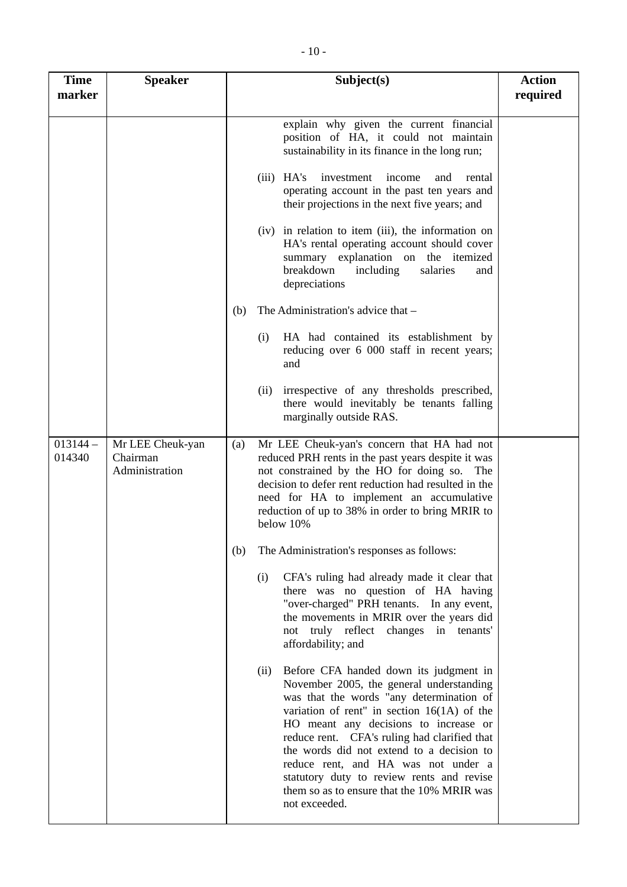| <b>Time</b><br>marker | <b>Speaker</b>                                 | Subject(s)                                                                                                                                                                                                                                                                                                                                                                                                                                                                       | <b>Action</b><br>required |
|-----------------------|------------------------------------------------|----------------------------------------------------------------------------------------------------------------------------------------------------------------------------------------------------------------------------------------------------------------------------------------------------------------------------------------------------------------------------------------------------------------------------------------------------------------------------------|---------------------------|
|                       |                                                | explain why given the current financial<br>position of HA, it could not maintain<br>sustainability in its finance in the long run;                                                                                                                                                                                                                                                                                                                                               |                           |
|                       |                                                | $(iii)$ HA's<br>investment<br>income<br>and<br>rental<br>operating account in the past ten years and<br>their projections in the next five years; and                                                                                                                                                                                                                                                                                                                            |                           |
|                       |                                                | (iv) in relation to item (iii), the information on<br>HA's rental operating account should cover<br>summary explanation on the itemized<br>breakdown<br>salaries<br>including<br>and<br>depreciations                                                                                                                                                                                                                                                                            |                           |
|                       |                                                | The Administration's advice that -<br>(b)                                                                                                                                                                                                                                                                                                                                                                                                                                        |                           |
|                       |                                                | (i)<br>HA had contained its establishment by<br>reducing over 6 000 staff in recent years;<br>and                                                                                                                                                                                                                                                                                                                                                                                |                           |
|                       |                                                | irrespective of any thresholds prescribed,<br>(ii)<br>there would inevitably be tenants falling<br>marginally outside RAS.                                                                                                                                                                                                                                                                                                                                                       |                           |
| $013144 -$<br>014340  | Mr LEE Cheuk-yan<br>Chairman<br>Administration | Mr LEE Cheuk-yan's concern that HA had not<br>(a)<br>reduced PRH rents in the past years despite it was<br>not constrained by the HO for doing so. The<br>decision to defer rent reduction had resulted in the<br>need for HA to implement an accumulative<br>reduction of up to 38% in order to bring MRIR to<br>below 10%                                                                                                                                                      |                           |
|                       |                                                | The Administration's responses as follows:<br>(b)                                                                                                                                                                                                                                                                                                                                                                                                                                |                           |
|                       |                                                | CFA's ruling had already made it clear that<br>(i)<br>there was no question of HA having<br>"over-charged" PRH tenants. In any event,<br>the movements in MRIR over the years did<br>not truly reflect changes in tenants'<br>affordability; and                                                                                                                                                                                                                                 |                           |
|                       |                                                | Before CFA handed down its judgment in<br>(ii)<br>November 2005, the general understanding<br>was that the words "any determination of<br>variation of rent" in section $16(1A)$ of the<br>HO meant any decisions to increase or<br>reduce rent. CFA's ruling had clarified that<br>the words did not extend to a decision to<br>reduce rent, and HA was not under a<br>statutory duty to review rents and revise<br>them so as to ensure that the 10% MRIR was<br>not exceeded. |                           |